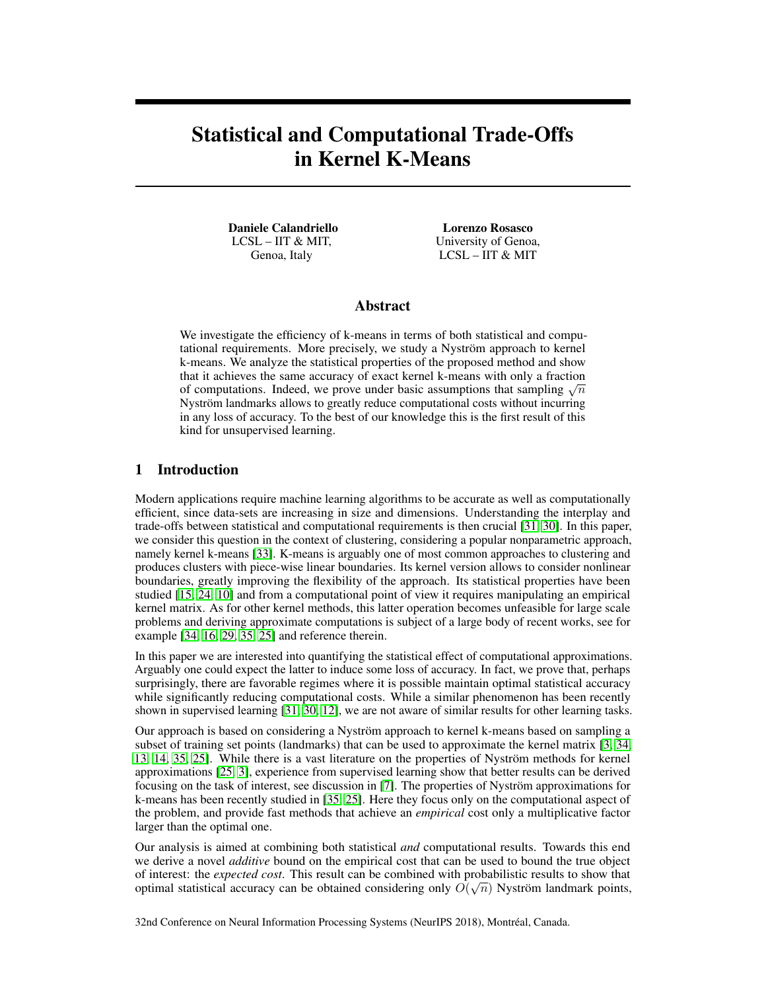# Statistical and Computational Trade-Offs in Kernel K-Means

Daniele Calandriello LCSL – IIT & MIT, Genoa, Italy

Lorenzo Rosasco University of Genoa, LCSL – IIT & MIT

# Abstract

We investigate the efficiency of k-means in terms of both statistical and computational requirements. More precisely, we study a Nyström approach to kernel k-means. We analyze the statistical properties of the proposed method and show that it achieves the same accuracy of exact kernel k-means with only a fraction that it achieves the same accuracy of exact kernel k-means with only a fraction<br>of computations. Indeed, we prove under basic assumptions that sampling  $\sqrt{n}$ Nyström landmarks allows to greatly reduce computational costs without incurring in any loss of accuracy. To the best of our knowledge this is the first result of this kind for unsupervised learning.

## 1 Introduction

Modern applications require machine learning algorithms to be accurate as well as computationally efficient, since data-sets are increasing in size and dimensions. Understanding the interplay and trade-offs between statistical and computational requirements is then crucial [31, 30]. In this paper, we consider this question in the context of clustering, considering a popular nonparametric approach, namely kernel k-means [33]. K-means is arguably one of most common approaches to clustering and produces clusters with piece-wise linear boundaries. Its kernel version allows to consider nonlinear boundaries, greatly improving the flexibility of the approach. Its statistical properties have been studied [15, 24, 10] and from a computational point of view it requires manipulating an empirical kernel matrix. As for other kernel methods, this latter operation becomes unfeasible for large scale problems and deriving approximate computations is subject of a large body of recent works, see for example [34, 16, 29, 35, 25] and reference therein.

In this paper we are interested into quantifying the statistical effect of computational approximations. Arguably one could expect the latter to induce some loss of accuracy. In fact, we prove that, perhaps surprisingly, there are favorable regimes where it is possible maintain optimal statistical accuracy while significantly reducing computational costs. While a similar phenomenon has been recently shown in supervised learning [31, 30, 12], we are not aware of similar results for other learning tasks.

Our approach is based on considering a Nyström approach to kernel k-means based on sampling a subset of training set points (landmarks) that can be used to approximate the kernel matrix [3, 34, 13, 14, 35, 25]. While there is a vast literature on the properties of Nyström methods for kernel approximations [25, 3], experience from supervised learning show that better results can be derived focusing on the task of interest, see discussion in [7]. The properties of Nyström approximations for k-means has been recently studied in [35, 25]. Here they focus only on the computational aspect of the problem, and provide fast methods that achieve an *empirical* cost only a multiplicative factor larger than the optimal one.

Our analysis is aimed at combining both statistical *and* computational results. Towards this end we derive a novel *additive* bound on the empirical cost that can be used to bound the true object of interest: the *expected cost*. This result can be combined with probabilistic results to show that √ optimal statistical accuracy can be obtained considering only  $O(\sqrt{n})$  Nyström landmark points,

32nd Conference on Neural Information Processing Systems (NeurIPS 2018), Montréal, Canada.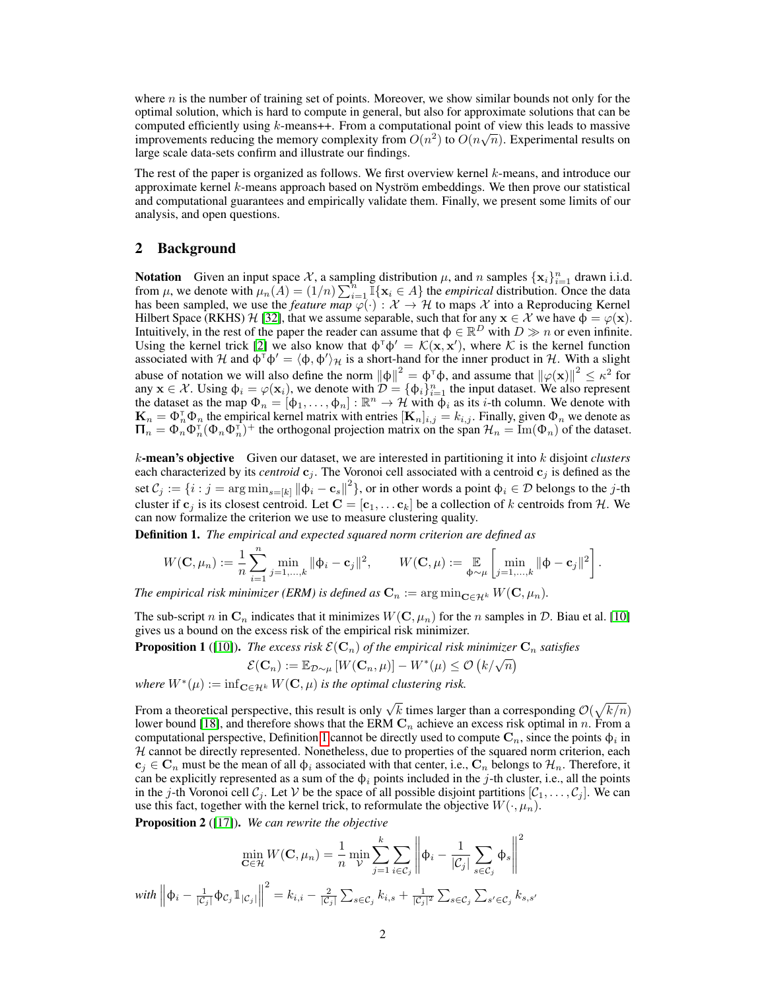where  $n$  is the number of training set of points. Moreover, we show similar bounds not only for the optimal solution, which is hard to compute in general, but also for approximate solutions that can be computed efficiently using k-means++. From a computational point of view this leads to massive improvements reducing the memory complexity from  $O(n^2)$  to  $O(n\sqrt{n})$ . Experimental results on large scale data-sets confirm and illustrate our findings.

The rest of the paper is organized as follows. We first overview kernel  $k$ -means, and introduce our approximate kernel  $k$ -means approach based on Nyström embeddings. We then prove our statistical and computational guarantees and empirically validate them. Finally, we present some limits of our analysis, and open questions.

# 2 Background

**Notation** Given an input space X, a sampling distribution  $\mu$ , and n samples  $\{x_i\}_{i=1}^n$  drawn i.i.d. from  $\mu$ , we denote with  $\mu_n(A) = (1/n) \sum_{i=1}^n \mathbb{I}\{x_i \in A\}$  the *empirical* distribution. Once the data has been sampled, we use the *feature map*  $\overline{\varphi}(\cdot) : \mathcal{X} \to \mathcal{H}$  to maps X into a Reproducing Kernel Hilbert Space (RKHS) H [32], that we assume separable, such that for any  $x \in \mathcal{X}$  we have  $\phi = \varphi(x)$ . Intuitively, in the rest of the paper the reader can assume that  $\phi \in \mathbb{R}^D$  with  $D \gg n$  or even infinite. Using the kernel trick [2] we also know that  $\phi^{\dagger} \phi' = \mathcal{K}(\mathbf{x}, \mathbf{x}')$ , where K is the kernel function associated with H and  $\phi^{\dagger} \phi' = \langle \phi, \phi' \rangle_{\mathcal{H}}$  is a short-hand for the inner product in H. With a slight abuse of notation we will also define the norm  $\|\phi\|^2 = \phi^\dagger \phi$ , and assume that  $\|\varphi(\mathbf{x})\|^2 \leq \kappa^2$  for any  $\mathbf{x} \in \mathcal{X}$ . Using  $\phi_i = \varphi(\mathbf{x}_i)$ , we denote with  $\mathcal{D} = {\phi_i}_{i=1}^n$  the input dataset. We also represent the dataset as the map  $\Phi_n = [\phi_1, \dots, \phi_n] : \mathbb{R}^n \to \mathcal{H}$  with  $\phi_i$  as its *i*-th column. We denote with  $\mathbf{K}_n = \Phi_n^{\intercal} \Phi_n$  the empirical kernel matrix with entries  $[\mathbf{K}_n]_{i,j} = k_{i,j}$ . Finally, given  $\Phi_n$  we denote as  $\Pi_n = \Phi_n^{\dagger} \Phi_n^{\dagger} (\Phi_n \Phi_n^{\dagger})^+$  the orthogonal projection matrix on the span  $\mathcal{H}_n = \text{Im}(\Phi_n)$  of the dataset.

k-mean's objective Given our dataset, we are interested in partitioning it into k disjoint *clusters* each characterized by its *centroid*  $c_j$ . The Voronoi cell associated with a centroid  $c_j$  is defined as the set  $C_j := \{i : j = \arg\min_{s=[k]} \| \phi_i - \mathbf{c}_s \|^2 \}$ , or in other words a point  $\phi_i \in \mathcal{D}$  belongs to the j-th cluster if  $c_j$  is its closest centroid. Let  $C = [c_1, \dots c_k]$  be a collection of k centroids from H. We can now formalize the criterion we use to measure clustering quality.

Definition 1. *The empirical and expected squared norm criterion are defined as*

$$
W(\mathbf{C}, \mu_n) := \frac{1}{n} \sum_{i=1}^n \min_{j=1,\dots,k} \|\phi_i - \mathbf{c}_j\|^2, \qquad W(\mathbf{C}, \mu) := \mathop{\mathbb{E}}_{\phi \sim \mu} \left[ \min_{j=1,\dots,k} \|\phi - \mathbf{c}_j\|^2 \right].
$$

*The empirical risk minimizer (ERM) is defined as*  $\mathbf{C}_n := \arg \min_{\mathbf{C} \in \mathcal{H}^k} W(\mathbf{C}, \mu_n)$ .

The sub-script n in  $\mathbf{C}_n$  indicates that it minimizes  $W(\mathbf{C}, \mu_n)$  for the n samples in D. Biau et al. [10] gives us a bound on the excess risk of the empirical risk minimizer.

**Proposition 1** ([10]). *The excess risk*  $\mathcal{E}(\mathbf{C}_n)$  *of the empirical risk minimizer*  $\mathbf{C}_n$  *satisfies*  $\mathcal{E}(\mathbf{C}_n) := \mathbb{E}_{\mathcal{D} \sim \mu} [W(\mathbf{C}_n, \mu)] - W^*(\mu) \leq \mathcal{O}(k/\sqrt{n})$ 

$$
\mathcal{E}(\mathbf{C}_n) := \mathbb{E}_{\mathcal{D}\sim\mu} \left[ W(\mathbf{C}_n, \mu) \right] - W^*(\mu) \leq \mathcal{O} \left( k/\sqrt{n} \right)
$$

 $where W^*(\mu) := \inf_{\mathbf{C} \in \mathcal{H}^k} W(\mathbf{C}, \mu)$  *is the optimal clustering risk.* 

From a theoretical perspective, this result is only  $\sqrt{k}$  times larger than a corresponding  $\mathcal{O}(\sqrt{k/n})$ lower bound [18], and therefore shows that the ERM  $\mathbf{C}_n$  achieve an excess risk optimal in n. From a computational perspective, Definition 1 cannot be directly used to compute  $\mathbf{C}_n$ , since the points  $\phi_i$  in  $H$  cannot be directly represented. Nonetheless, due to properties of the squared norm criterion, each  $c_i \in \mathbf{C}_n$  must be the mean of all  $\phi_i$  associated with that center, i.e.,  $\mathbf{C}_n$  belongs to  $\mathcal{H}_n$ . Therefore, it can be explicitly represented as a sum of the  $\phi_i$  points included in the j-th cluster, i.e., all the points in the j-th Voronoi cell  $C_j$ . Let V be the space of all possible disjoint partitions  $[C_1, \ldots, C_j]$ . We can use this fact, together with the kernel trick, to reformulate the objective  $W(\cdot, \mu_n)$ .

Proposition 2 ([17]). *We can rewrite the objective*

$$
\min_{\mathbf{C}\in\mathcal{H}} W(\mathbf{C}, \mu_n) = \frac{1}{n} \min_{\mathcal{V}} \sum_{j=1}^k \sum_{i \in \mathcal{C}_j} \left\| \phi_i - \frac{1}{|\mathcal{C}_j|} \sum_{s \in \mathcal{C}_j} \phi_s \right\|^2
$$
  
with 
$$
\left\| \phi_i - \frac{1}{|\mathcal{C}_j|} \phi_{\mathcal{C}_j} \mathbb{1}_{|\mathcal{C}_j|} \right\|^2 = k_{i,i} - \frac{2}{|\mathcal{C}_j|} \sum_{s \in \mathcal{C}_j} k_{i,s} + \frac{1}{|\mathcal{C}_j|^2} \sum_{s \in \mathcal{C}_j} \sum_{s' \in \mathcal{C}_j} k_{s,s'}
$$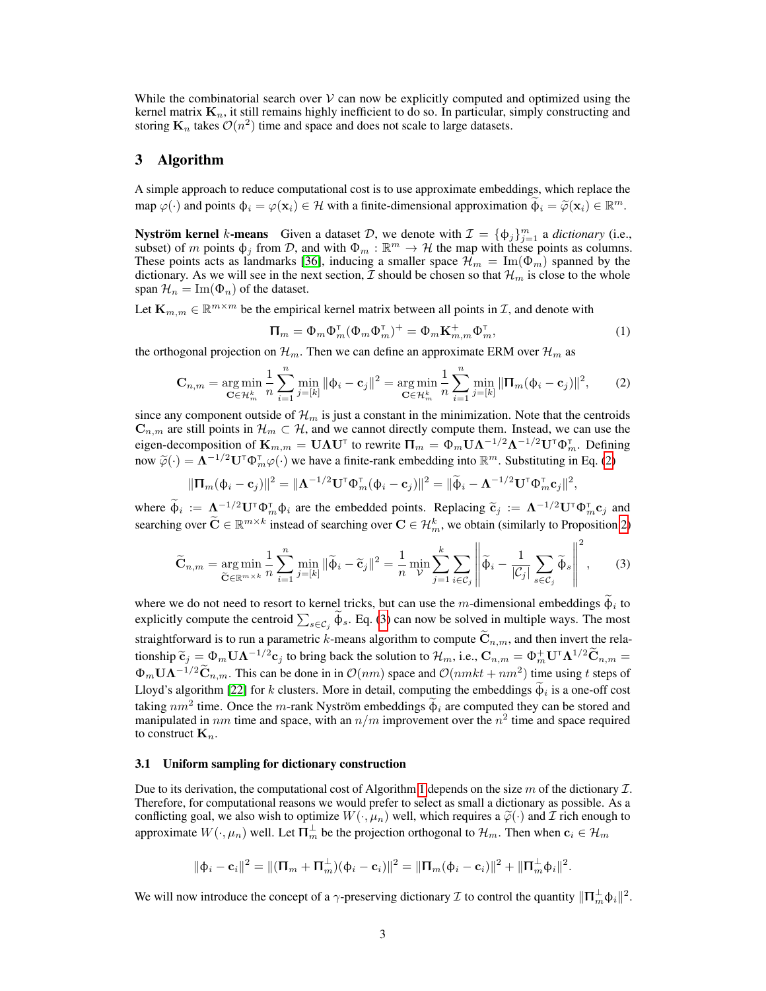While the combinatorial search over  $\mathcal V$  can now be explicitly computed and optimized using the kernel matrix  $K_n$ , it still remains highly inefficient to do so. In particular, simply constructing and storing  $\mathbf{K}_n$  takes  $\mathcal{O}(n^2)$  time and space and does not scale to large datasets.

## 3 Algorithm

A simple approach to reduce computational cost is to use approximate embeddings, which replace the map  $\varphi(\cdot)$  and points  $\phi_i = \varphi(\mathbf{x}_i) \in \mathcal{H}$  with a finite-dimensional approximation  $\widetilde{\phi}_i = \widetilde{\varphi}(\mathbf{x}_i) \in \mathbb{R}^m$ .

**Nyström kernel** k-means Given a dataset D, we denote with  $\mathcal{I} = {\phi_j}_{j=1}^m$  a *dictionary* (i.e., subset) of m points  $\phi_j$  from D, and with  $\Phi_m : \mathbb{R}^m \to \mathcal{H}$  the map with these points as columns. These points acts as landmarks [36], inducing a smaller space  $\mathcal{H}_m = \text{Im}(\Phi_m)$  spanned by the dictionary. As we will see in the next section,  $\mathcal I$  should be chosen so that  $\mathcal H_m$  is close to the whole span  $\mathcal{H}_n = \text{Im}(\Phi_n)$  of the dataset.

Let  $\mathbf{K}_{m,m} \in \mathbb{R}^{m \times m}$  be the empirical kernel matrix between all points in  $\mathcal{I}$ , and denote with

$$
\Pi_m = \Phi_m \Phi_m^{\mathsf{T}} (\Phi_m \Phi_m^{\mathsf{T}})^+ = \Phi_m \mathbf{K}_{m,m}^+ \Phi_m^{\mathsf{T}}, \tag{1}
$$

the orthogonal projection on  $\mathcal{H}_m$ . Then we can define an approximate ERM over  $\mathcal{H}_m$  as

$$
\mathbf{C}_{n,m} = \arg \min_{\mathbf{C} \in \mathcal{H}_m^k} \frac{1}{n} \sum_{i=1}^n \min_{j= [k]} \|\phi_i - \mathbf{c}_j\|^2 = \arg \min_{\mathbf{C} \in \mathcal{H}_m^k} \frac{1}{n} \sum_{i=1}^n \min_{j= [k]} \|\mathbf{\Pi}_m(\phi_i - \mathbf{c}_j)\|^2, \tag{2}
$$

since any component outside of  $\mathcal{H}_m$  is just a constant in the minimization. Note that the centroids  $\mathbf{C}_{n,m}$  are still points in  $\mathcal{H}_m \subset \mathcal{H}$ , and we cannot directly compute them. Instead, we can use the eigen-decomposition of  ${\bf K}_{m,m}={\bf U}\Lambda {\bf U}^\intercal$  to rewrite  ${\bf \Pi}_m=\Phi_m{\bf U}\Lambda^{-1/2}\Lambda^{-1/2}{\bf U}^\intercal\Phi_m^\intercal.$  Defining now  $\widetilde{\varphi}(\cdot) = \mathbf{\Lambda}^{-1/2} \mathbf{U}^{\mathsf{T}} \Phi_{m}^{\mathsf{T}} \varphi(\cdot)$  we have a finite-rank embedding into  $\mathbb{R}^{m}$ . Substituting in Eq. (2)

$$
\|\boldsymbol{\Pi}_{m}(\boldsymbol{\phi}_{i}-\mathbf{c}_{j})\|^{2}=\|\boldsymbol{\Lambda}^{-1/2}\mathbf{U}^{\mathsf{T}}\boldsymbol{\Phi}_{m}^{\mathsf{T}}(\boldsymbol{\phi}_{i}-\mathbf{c}_{j})\|^{2}=\|\widetilde{\boldsymbol{\phi}}_{i}-\boldsymbol{\Lambda}^{-1/2}\mathbf{U}^{\mathsf{T}}\boldsymbol{\Phi}_{m}^{\mathsf{T}}\mathbf{c}_{j}\|^{2},
$$

where  $\tilde{\phi}_i := \Lambda^{-1/2} \mathbf{U}^{\mathsf{T}} \Phi_{in}^{\mathsf{T}} \phi_i$  are the embedded points. Replacing  $\tilde{\mathbf{c}}_j := \Lambda^{-1/2} \mathbf{U}^{\mathsf{T}} \Phi_{in}^{\mathsf{T}} \mathbf{c}_j$  and searching over  $\widetilde{\mathbf{C}} \in \mathbb{R}^{m \times k}$  instead of searching over  $\mathbf{C} \in \mathcal{H}_m^k$ , we obtain (similarly to Proposition 2)

$$
\widetilde{\mathbf{C}}_{n,m} = \underset{\widetilde{\mathbf{C}} \in \mathbb{R}^{m \times k}}{\arg \min} \frac{1}{n} \sum_{i=1}^{n} \underset{j=[k]}{\min} \|\widetilde{\boldsymbol{\Phi}}_{i} - \widetilde{\mathbf{C}}_{j}\|^{2} = \frac{1}{n} \underset{\mathcal{V}}{\min} \sum_{j=1}^{k} \sum_{i \in \mathcal{C}_{j}} \left\| \widetilde{\boldsymbol{\Phi}}_{i} - \frac{1}{|\mathcal{C}_{j}|} \sum_{s \in \mathcal{C}_{j}} \widetilde{\boldsymbol{\Phi}}_{s} \right\|^{2},\tag{3}
$$

where we do not need to resort to kernel tricks, but can use the m-dimensional embeddings  $\phi_i$  to explicitly compute the centroid  $\sum_{s \in C_j} \phi_s$ . Eq. (3) can now be solved in multiple ways. The most straightforward is to run a parametric k-means algorithm to compute  $\tilde{\mathbf{C}}_{n,m}$ , and then invert the relationship  $\tilde{c}_j = \Phi_m \mathbf{U} \mathbf{\Lambda}^{-1/2} \mathbf{c}_j$  to bring back the solution to  $\mathcal{H}_m$ , i.e.,  $\mathbf{C}_{n,m} = \Phi_m^+ \mathbf{U}^{\dagger} \mathbf{\Lambda}^{1/2} \tilde{\mathbf{C}}_{n,m} =$  $\Phi_m \mathbf{U} \mathbf{\Lambda}^{-1/2} \widetilde{\mathbf{C}}_{n,m}$ . This can be done in in  $\mathcal{O}(nm)$  space and  $\mathcal{O}(nmkt + nm^2)$  time using t steps of Lloyd's algorithm [22] for k clusters. More in detail, computing the embeddings  $\phi_i$  is a one-off cost taking  $nm^2$  time. Once the m-rank Nyström embeddings  $\dot{\phi}_i$  are computed they can be stored and manipulated in nm time and space, with an  $n/m$  improvement over the  $n^2$  time and space required to construct  $\mathbf{K}_n$ .

#### 3.1 Uniform sampling for dictionary construction

Due to its derivation, the computational cost of Algorithm 1 depends on the size m of the dictionary  $\mathcal{I}$ . Therefore, for computational reasons we would prefer to select as small a dictionary as possible. As a conflicting goal, we also wish to optimize  $W(\cdot,\mu_n)$  well, which requires a  $\tilde{\varphi}(\cdot)$  and  $\mathcal I$  rich enough to approximate  $W(\cdot,\mu_n)$  well. Let  $\prod_{m}^{\perp}$  be the projection orthogonal to  $\mathcal{H}_m$ . Then when  $\mathbf{c}_i \in \mathcal{H}_m$ 

$$
\|\phi_i - \mathbf{c}_i\|^2 = \|(\Pi_m + \Pi_m^{\perp})(\phi_i - \mathbf{c}_i)\|^2 = \|\Pi_m(\phi_i - \mathbf{c}_i)\|^2 + \|\Pi_m^{\perp}\phi_i\|^2.
$$

We will now introduce the concept of a  $\gamma$ -preserving dictionary  $\mathcal I$  to control the quantity  $\|\Pi_m^{\perp}\phi_i\|^2$ .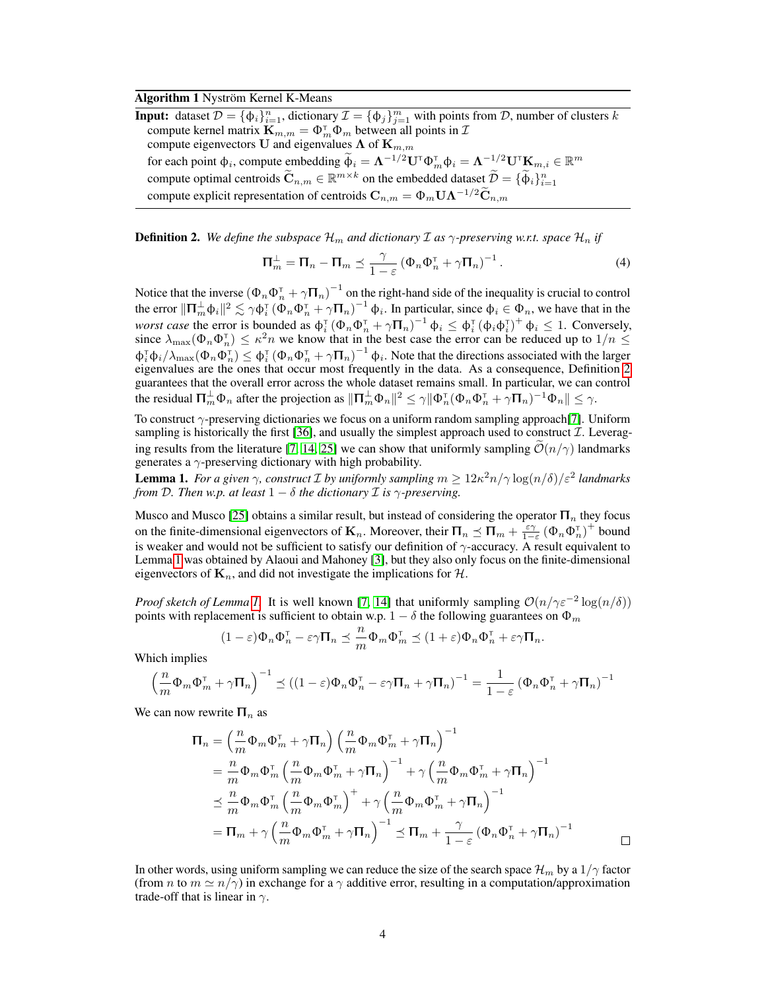#### Algorithm 1 Nyström Kernel K-Means

**Input:** dataset  $\mathcal{D} = \{\phi_i\}_{i=1}^n$ , dictionary  $\mathcal{I} = \{\phi_j\}_{j=1}^m$  with points from  $\mathcal{D}$ , number of clusters k compute kernel matrix  $\mathbf{K}_{m,m} = \Phi_m^{\mathsf{T}} \Phi_m$  between all points in  $\mathcal{I}$ compute eigenvectors U and eigenvalues  $\Lambda$  of  $\mathbf{K}_{m,m}$ for each point  $\phi_i$ , compute embedding  $\widetilde{\phi}_i = \Lambda^{-1/2} \mathbf{U}^{\mathsf{T}} \Phi_m^{\mathsf{T}} \phi_i = \Lambda^{-1/2} \mathbf{U}^{\mathsf{T}} \mathbf{K}_{m,i} \in \mathbb{R}^m$ compute optimal centroids  $\widetilde{\mathbf{C}}_{n,m} \in \mathbb{R}^{m \times k}$  on the embedded dataset  $\widetilde{\mathcal{D}} = \{ \widetilde{\Phi}_i \}_{i=1}^n$ compute explicit representation of centroids  $C_{n,m} = \Phi_m \mathbf{U} \Lambda^{-1/2} \widetilde{\mathbf{C}}_{n,m}$ 

**Definition 2.** We define the subspace  $\mathcal{H}_m$  and dictionary  $\mathcal{I}$  as  $\gamma$ -preserving w.r.t. space  $\mathcal{H}_n$  if

$$
\Pi_m^{\perp} = \Pi_n - \Pi_m \preceq \frac{\gamma}{1 - \varepsilon} \left( \Phi_n \Phi_n^{\mathsf{T}} + \gamma \Pi_n \right)^{-1} . \tag{4}
$$

Notice that the inverse  $(\Phi_n \Phi_n^{\dagger} + \gamma \Pi_n)^{-1}$  on the right-hand side of the inequality is crucial to control the error  $\|\Pi_m^{\perp} \phi_i\|^2 \lesssim \gamma \phi_i^{\dagger} (\Phi_n \Phi_n^{\dagger} + \gamma \Pi_n)^{-1} \phi_i$ . In particular, since  $\phi_i \in \Phi_n$ , we have that in the *worst case* the error is bounded as  $\phi_i^T (\Phi_n \Phi_n^T + \gamma \Pi_n)^{-1} \phi_i \leq \phi_i^T (\phi_i \phi_i^T)^+ \phi_i \leq 1$ . Conversely, since  $\lambda_{\max}(\Phi_n \Phi_n^{\top}) \leq \kappa^2 n$  we know that in the best case the error can be reduced up to  $1/n \leq$  $\Phi_i^{\dagger} \Phi_i / \lambda_{\max} (\Phi_n \Phi_n^{\dagger}) \leq \Phi_i^{\dagger} (\Phi_n \Phi_n^{\dagger} + \gamma \Pi_n)^{-1} \Phi_i$ . Note that the directions associated with the larger eigenvalues are the ones that occur most frequently in the data. As a consequence, Definition 2 guarantees that the overall error across the whole dataset remains small. In particular, we can control the residual  $\mathbf{\Pi}_m^{\perp} \Phi_n$  after the projection as  $\|\mathbf{\Pi}_m^{\perp} \Phi_n\|^2 \leq \gamma \|\Phi_n^{\intercal} (\Phi_n \Phi_n^{\intercal} + \gamma \mathbf{\Pi}_n)^{-1} \Phi_n\| \leq \gamma$ .

To construct  $\gamma$ -preserving dictionaries we focus on a uniform random sampling approach[7]. Uniform sampling is historically the first [36], and usually the simplest approach used to construct  $\mathcal{I}$ . Leveraging results from the literature [7, 14, 25] we can show that uniformly sampling  $\mathcal{O}(n/\gamma)$  landmarks generates a  $\gamma$ -preserving dictionary with high probability.

**Lemma 1.** For a given  $\gamma$ , construct  $\mathcal I$  by uniformly sampling  $m \geq 12\kappa^2 n/\gamma \log(n/\delta)/\varepsilon^2$  landmarks *from* D. Then w.p. at least  $1 - \delta$  the dictionary  $\mathcal I$  is  $\gamma$ -preserving.

Musco and Musco [25] obtains a similar result, but instead of considering the operator  $\Pi_n$  they focus on the finite-dimensional eigenvectors of  $\mathbf{K}_n$ . Moreover, their  $\mathbf{\Pi}_n \preceq \mathbf{\Pi}_m + \frac{\varepsilon \gamma}{1 - \varepsilon} (\Phi_n \Phi_n^{\mathsf{T}})^+$  bound is weaker and would not be sufficient to satisfy our definition of  $\gamma$ -accuracy. A result equivalent to Lemma 1 was obtained by Alaoui and Mahoney [3], but they also only focus on the finite-dimensional eigenvectors of  $\mathbf{K}_n$ , and did not investigate the implications for H.

*Proof sketch of Lemma 1.* It is well known [7, 14] that uniformly sampling  $O(n/\gamma \varepsilon^{-2} \log(n/\delta))$ points with replacement is sufficient to obtain w.p.  $1 - \delta$  the following guarantees on  $\Phi_m$ 

$$
(1-\varepsilon)\Phi_n\Phi_n^{\mathsf{T}} - \varepsilon\gamma \Pi_n \preceq \frac{n}{m}\Phi_m\Phi_m^{\mathsf{T}} \preceq (1+\varepsilon)\Phi_n\Phi_n^{\mathsf{T}} + \varepsilon\gamma \Pi_n.
$$

Which implies

$$
\left(\frac{n}{m}\Phi_m\Phi_m^{\mathsf{T}} + \gamma \Pi_n\right)^{-1} \preceq \left((1-\varepsilon)\Phi_n\Phi_n^{\mathsf{T}} - \varepsilon\gamma \Pi_n + \gamma \Pi_n\right)^{-1} = \frac{1}{1-\varepsilon} \left(\Phi_n\Phi_n^{\mathsf{T}} + \gamma \Pi_n\right)^{-1}
$$

We can now rewrite  $\Pi_n$  as

$$
\Pi_n = \left(\frac{n}{m}\Phi_m\Phi_m^{\mathsf{T}} + \gamma \Pi_n\right) \left(\frac{n}{m}\Phi_m\Phi_m^{\mathsf{T}} + \gamma \Pi_n\right)^{-1} \n= \frac{n}{m}\Phi_m\Phi_m^{\mathsf{T}} \left(\frac{n}{m}\Phi_m\Phi_m^{\mathsf{T}} + \gamma \Pi_n\right)^{-1} + \gamma \left(\frac{n}{m}\Phi_m\Phi_m^{\mathsf{T}} + \gamma \Pi_n\right)^{-1} \n\leq \frac{n}{m}\Phi_m\Phi_m^{\mathsf{T}} \left(\frac{n}{m}\Phi_m\Phi_m^{\mathsf{T}}\right)^{+} + \gamma \left(\frac{n}{m}\Phi_m\Phi_m^{\mathsf{T}} + \gamma \Pi_n\right)^{-1} \n= \Pi_m + \gamma \left(\frac{n}{m}\Phi_m\Phi_m^{\mathsf{T}} + \gamma \Pi_n\right)^{-1} \leq \Pi_m + \frac{\gamma}{1-\varepsilon} \left(\Phi_n\Phi_n^{\mathsf{T}} + \gamma \Pi_n\right)^{-1}
$$

In other words, using uniform sampling we can reduce the size of the search space  $\mathcal{H}_m$  by a  $1/\gamma$  factor (from *n* to  $m \simeq n/\gamma$ ) in exchange for a  $\gamma$  additive error, resulting in a computation/approximation trade-off that is linear in  $\gamma$ .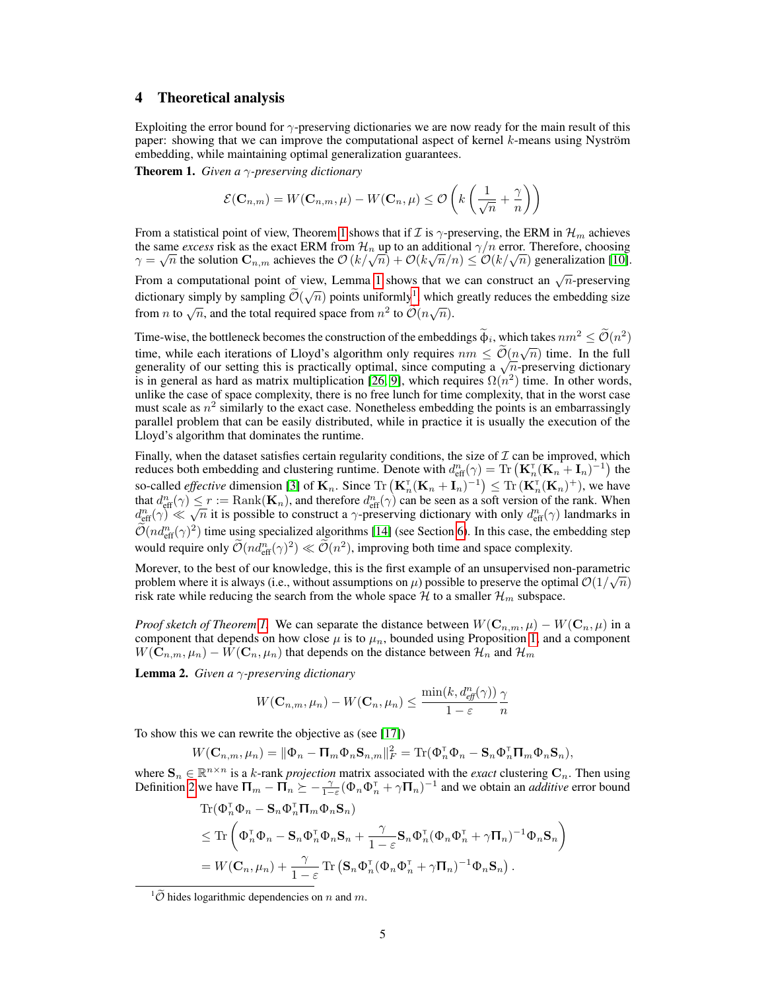## 4 Theoretical analysis

Exploiting the error bound for  $\gamma$ -preserving dictionaries we are now ready for the main result of this paper: showing that we can improve the computational aspect of kernel k-means using Nyström embedding, while maintaining optimal generalization guarantees.

Theorem 1. *Given a* γ*-preserving dictionary*

$$
\mathcal{E}(\mathbf{C}_{n,m}) = W(\mathbf{C}_{n,m}, \mu) - W(\mathbf{C}_n, \mu) \leq \mathcal{O}\left(k\left(\frac{1}{\sqrt{n}} + \frac{\gamma}{n}\right)\right)
$$

From a statistical point of view, Theorem 1 shows that if  $\mathcal I$  is  $\gamma$ -preserving, the ERM in  $\mathcal H_m$  achieves the same *excess* risk as the exact ERM from  $\mathcal{H}_n$  up to an additional  $\gamma/n$  error. Therefore, choosing the same *excess* risk as the exact ERM from  $H_n$  up to an additional  $\gamma/n$  error. Therefore, choosing  $\gamma = \sqrt{n}$  the solution  $\mathbf{C}_{n,m}$  achieves the  $\mathcal{O}(k/\sqrt{n}) + \mathcal{O}(k\sqrt{n}/n) \leq \mathcal{O}(k/\sqrt{n})$  generalization [10].

From a computational point of view, Lemma 1 shows that we can construct an  $\sqrt{n}$ -preserving dictionary simply by sampling  $\widetilde{\mathcal{O}}(\sqrt{n})$  points uniformly<sup>1</sup>, which greatly reduces the embedding size from *n* to  $\sqrt{n}$ , and the total required space from  $n^2$  to  $\widetilde{O}(n\sqrt{n})$ .

Time-wise, the bottleneck becomes the construction of the embeddings  $\tilde{\phi}_i$ , which takes  $nm^2 \leq \tilde{\mathcal{O}}(n^2)$ time, while each iterations of Lloyd's algorithm only requires  $nm \leq \tilde{O}(n\sqrt{n})$  time. In the full<br>non-versity of any orthogological properties of the function of the full time, while each iterations of Lloyd's algorithm only requires  $nm \leq \mathcal{O}(n\sqrt{n})$  time. In the full generality of our setting this is practically optimal, since computing a  $\sqrt{n}$ -preserving dictionary is in general as hard as matrix multiplication [26, 9], which requires  $\Omega(n^2)$  time. In other words, unlike the case of space complexity, there is no free lunch for time complexity, that in the worst case must scale as  $n^2$  similarly to the exact case. Nonetheless embedding the points is an embarrassingly parallel problem that can be easily distributed, while in practice it is usually the execution of the Lloyd's algorithm that dominates the runtime.

Finally, when the dataset satisfies certain regularity conditions, the size of  $\mathcal I$  can be improved, which reduces both embedding and clustering runtime. Denote with  $d_{\text{eff}}^n(\gamma) = \text{Tr} \left( \mathbf{K}_n^{\text{T}} (\mathbf{K}_n + \mathbf{I}_n)^{-1} \right)$  the so-called *effective* dimension [3] of  $\mathbf{K}_n$ . Since  $\text{Tr} \left( \mathbf{K}_n^{\dagger} (\mathbf{K}_n + \mathbf{I}_n)^{-1} \right) \leq \text{Tr} \left( \mathbf{K}_n^{\dagger} (\mathbf{K}_n)^+ \right)$ , we have that  $d_{\text{eff}}^n(\gamma) \leq r := \text{Rank}(\mathbf{K}_n)$ , and therefore  $d_{\text{eff}}^n(\gamma)$  can be seen as a soft version of the rank. When that  $d_{\text{eff}}^{\infty}(\gamma) \leq r := \text{Kank}(\mathbf{K}_n)$ , and therefore  $d_{\text{eff}}^{\infty}(\gamma)$  can be seen as a soft version of the rank. When  $d_{\text{eff}}^n(\gamma) \ll \sqrt{n}$  it is possible to construct a  $\gamma$ -preserving dictionary with only  $d_{\text{eff}}^n$  $\widetilde{\mathcal{O}}(nd_{\text{eff}}^n(\gamma)^2)$  time using specialized algorithms [14] (see Section 6). In this case, the embedding step would require only  $\mathcal{O}(nd_{\text{eff}}^n(\gamma)^2) \ll \mathcal{O}(n^2)$ , improving both time and space complexity.

Morever, to the best of our knowledge, this is the first example of an unsupervised non-parametric problem where it is always (i.e., without assumptions on  $\mu$ ) possible to preserve the optimal  $\mathcal{O}(1/\sqrt{n})$ risk rate while reducing the search from the whole space  $H$  to a smaller  $\mathcal{H}_m$  subspace.

*Proof sketch of Theorem 1.* We can separate the distance between  $W(C_{n,m}, \mu) - W(C_n, \mu)$  in a component that depends on how close  $\mu$  is to  $\mu_n$ , bounded using Proposition 1, and a component  $W(\mathbf{C}_{n,m}, \mu_n) - W(\mathbf{C}_n, \mu_n)$  that depends on the distance between  $\mathcal{H}_n$  and  $\mathcal{H}_m$ 

Lemma 2. *Given a* γ*-preserving dictionary*

$$
W(\mathbf{C}_{n,m}, \mu_n) - W(\mathbf{C}_n, \mu_n) \le \frac{\min(k, d_{\text{eff}}^n(\gamma))}{1 - \varepsilon} \frac{\gamma}{n}
$$

To show this we can rewrite the objective as (see [17])

$$
W(\mathbf{C}_{n,m}, \mu_n) = \|\Phi_n - \mathbf{\Pi}_m \Phi_n \mathbf{S}_{n,m}\|_F^2 = \text{Tr}(\Phi_n^{\mathsf{T}} \Phi_n - \mathbf{S}_n \Phi_n^{\mathsf{T}} \mathbf{\Pi}_m \Phi_n \mathbf{S}_n),
$$

where  $\mathbf{S}_n \in \mathbb{R}^{n \times n}$  is a k-rank *projection* matrix associated with the *exact* clustering  $\mathbf{C}_n$ . Then using Definition 2 we have  $\Pi_m - \Pi_n \ge -\frac{\gamma}{1-\varepsilon} (\Phi_n \Phi_n^{\intercal} + \gamma \Pi_n)^{-1}$  and we obtain an *additive* error bound

$$
\begin{split} &\text{Tr}(\Phi_n^{\scriptscriptstyle \sf T}\Phi_n-\mathbf{S}_n\Phi_n^{\scriptscriptstyle \sf T}\mathbf{\Pi}_m\Phi_n\mathbf{S}_n)\\ &\leq\text{Tr}\left(\Phi_n^{\scriptscriptstyle \sf T}\Phi_n-\mathbf{S}_n\Phi_n^{\scriptscriptstyle \sf T}\Phi_n\mathbf{S}_n+\frac{\gamma}{1-\varepsilon}\mathbf{S}_n\Phi_n^{\scriptscriptstyle \sf T}(\Phi_n\Phi_n^{\scriptscriptstyle \sf T}+\gamma\mathbf{\Pi}_n)^{-1}\Phi_n\mathbf{S}_n\right)\\ &=W(\mathbf{C}_n,\mu_n)+\frac{\gamma}{1-\varepsilon}\text{Tr}\left(\mathbf{S}_n\Phi_n^{\scriptscriptstyle \sf T}(\Phi_n\Phi_n^{\scriptscriptstyle \sf T}+\gamma\mathbf{\Pi}_n)^{-1}\Phi_n\mathbf{S}_n\right). \end{split}
$$

 $\frac{1}{\tilde{\mathcal{O}}}$  hides logarithmic dependencies on n and m.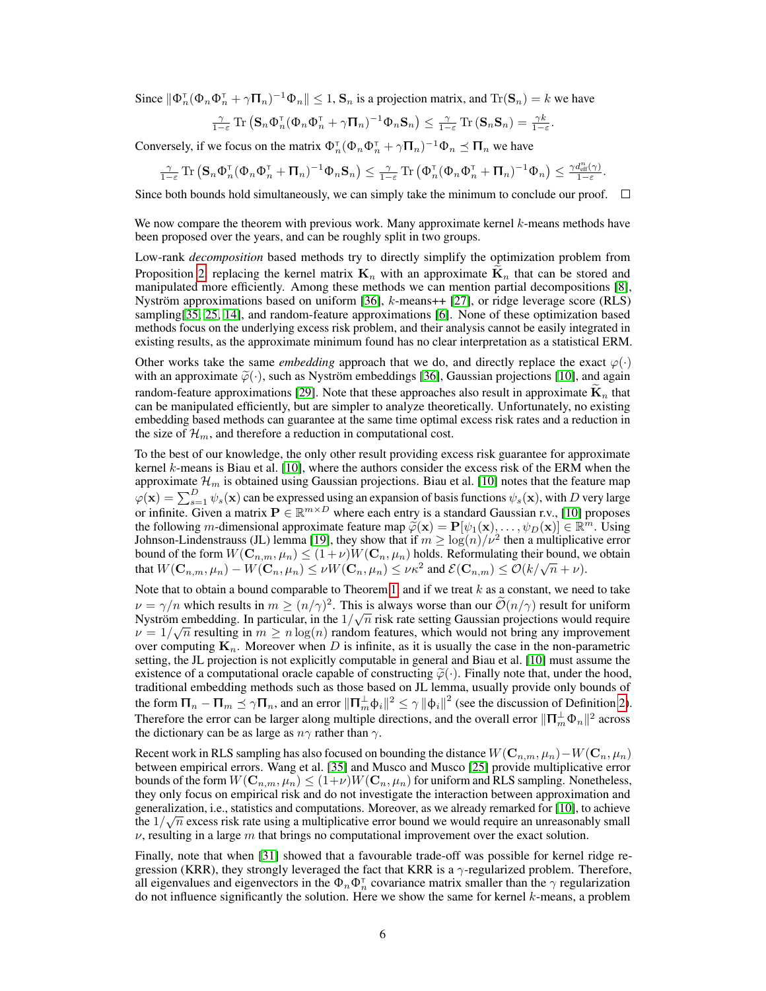Since  $\|\Phi_n^{\tau}(\Phi_n \Phi_n^{\tau} + \gamma \Pi_n)^{-1} \Phi_n\| \leq 1$ ,  $\mathbf{S}_n$  is a projection matrix, and  $\text{Tr}(\mathbf{S}_n) = k$  we have

$$
\frac{\gamma}{1-\varepsilon} \operatorname{Tr} \left( \mathbf{S}_n \Phi_n^{\mathsf{T}} (\Phi_n \Phi_n^{\mathsf{T}} + \gamma \mathbf{\Pi}_n)^{-1} \Phi_n \mathbf{S}_n \right) \leq \frac{\gamma}{1-\varepsilon} \operatorname{Tr} \left( \mathbf{S}_n \mathbf{S}_n \right) = \frac{\gamma k}{1-\varepsilon}.
$$

Conversely, if we focus on the matrix  $\Phi_n^T(\Phi_n \Phi_n^T + \gamma \Pi_n)^{-1} \Phi_n \preceq \Pi_n$  we have

$$
\tfrac{\gamma}{1-\varepsilon}\operatorname{Tr}\left(\mathbf{S}_n\Phi_n^{\scriptscriptstyle{\text{T}}}(\Phi_n\Phi_n^{\scriptscriptstyle{\text{T}}}+\Pi_n)^{-1}\Phi_n\mathbf{S}_n\right)\leq \tfrac{\gamma}{1-\varepsilon}\operatorname{Tr}\left(\Phi_n^{\scriptscriptstyle{\text{T}}}(\Phi_n\Phi_n^{\scriptscriptstyle{\text{T}}}+\Pi_n)^{-1}\Phi_n\right)\leq \tfrac{\gamma d_{\text{eff}}^n(\gamma)}{1-\varepsilon}.
$$

Since both bounds hold simultaneously, we can simply take the minimum to conclude our proof.  $\Box$ 

We now compare the theorem with previous work. Many approximate kernel  $k$ -means methods have been proposed over the years, and can be roughly split in two groups.

Low-rank *decomposition* based methods try to directly simplify the optimization problem from Proposition 2, replacing the kernel matrix  $\mathbf{K}_n$  with an approximate  $\mathbf{K}_n$  that can be stored and manipulated more efficiently. Among these methods we can mention partial decompositions [8], Nyström approximations based on uniform [36], k-means++ [27], or ridge leverage score (RLS) sampling[35, 25, 14], and random-feature approximations [6]. None of these optimization based methods focus on the underlying excess risk problem, and their analysis cannot be easily integrated in existing results, as the approximate minimum found has no clear interpretation as a statistical ERM.

Other works take the same *embedding* approach that we do, and directly replace the exact  $\varphi(\cdot)$ with an approximate  $\tilde{\varphi}(\cdot)$ , such as Nyström embeddings [36], Gaussian projections [10], and again random-feature approximations [29]. Note that these approaches also result in approximate  $K_n$  that can be manipulated efficiently, but are simpler to analyze theoretically. Unfortunately, no existing embedding based methods can guarantee at the same time optimal excess risk rates and a reduction in the size of  $\mathcal{H}_m$ , and therefore a reduction in computational cost.

To the best of our knowledge, the only other result providing excess risk guarantee for approximate kernel k-means is Biau et al. [10], where the authors consider the excess risk of the ERM when the approximate  $\mathcal{H}_m$  is obtained using Gaussian projections. Biau et al. [10] notes that the feature map  $\varphi(\mathbf{x}) = \sum_{s=1}^{D} \psi_s(\mathbf{x})$  can be expressed using an expansion of basis functions  $\psi_s(\mathbf{x})$ , with D very large or infinite. Given a matrix  $P \in \mathbb{R}^{m \times D}$  where each entry is a standard Gaussian r.v., [10] proposes the following m-dimensional approximate feature map  $\tilde{\varphi}(\mathbf{x}) = \mathbf{P}[\psi_1(\mathbf{x}), \dots, \psi_D(\mathbf{x})] \in \mathbb{R}^m$ . Using  $\text{Idens}$   $\text{Idens}$   $\mathbf{Q}(\mathbf{x})$  is the strong  $\mathbf{Q}(\mathbf{x})$  is the strong  $\mathbf{Q}(\mathbf{x})$  is the strong  $\mathbf{Q}$ Johnson-Lindenstrauss (JL) lemma [19], they show that if  $m \geq \log(n)/\nu^2$  then a multiplicative error bound of the form  $W(\mathbf{C}_{n,m}, \mu_n) \leq (1+\nu)W(\mathbf{C}_n, \mu_n)$  holds. Reformulating their bound, we obtain bound of the form  $W(\mathbf{C}_{n,m}, \mu_n) \le (1+\nu)W(\mathbf{C}_n, \mu_n)$  holds. Reformulating then bound,  $W(\mathbf{C}_{n,m}, \mu_n) - W(\mathbf{C}_n, \mu_n) \le \nu W(\mathbf{C}_n, \mu_n) \le \nu \kappa^2$  and  $\mathcal{E}(\mathbf{C}_{n,m}) \le \mathcal{O}(k/\sqrt{n} + \nu)$ .

Note that to obtain a bound comparable to Theorem 1, and if we treat  $k$  as a constant, we need to take  $\nu = \gamma/n$  which results in  $m \ge (n/\gamma)^2$ . This is always worse than our  $\tilde{\mathcal{O}}(n/\gamma)$  result for uniform Nyström embedding. In particular, in the  $1/\sqrt{n}$  risk rate setting Gaussian projections would require  $\nu = 1/\sqrt{n}$  resulting in  $m \ge n \log(n)$  random features, which would not bring any improvement over computing  $\mathbf{K}_n$ . Moreover when D is infinite, as it is usually the case in the non-parametric setting, the JL projection is not explicitly computable in general and Biau et al. [10] must assume the existence of a computational oracle capable of constructing  $\tilde{\varphi}(\cdot)$ . Finally note that, under the hood, traditional embedding methods such as those based on JL lemma, usually provide only bounds of the form  $\Pi_n - \Pi_m \preceq \gamma \Pi_n$ , and an error  $\|\Pi_m^{\perp} \phi_i\|^2 \leq \gamma \|\phi_i\|^2$  (see the discussion of Definition 2). Therefore the error can be larger along multiple directions, and the overall error  $\|\Pi_m^\perp \Phi_n\|^2$  across the dictionary can be as large as  $n\gamma$  rather than  $\gamma$ .

Recent work in RLS sampling has also focused on bounding the distance  $W(\mathbf{C}_{n,m}, \mu_n) - W(\mathbf{C}_n, \mu_n)$ between empirical errors. Wang et al. [35] and Musco and Musco [25] provide multiplicative error bounds of the form  $W(\mathbf{C}_{n,m}, \mu_n) \leq (1+\nu)W(\mathbf{C}_n, \mu_n)$  for uniform and RLS sampling. Nonetheless, they only focus on empirical risk and do not investigate the interaction between approximation and generalization, i.e., statistics and computations. Moreover, as we already remarked for [10], to achieve the  $1/\sqrt{n}$  excess risk rate using a multiplicative error bound we would require an unreasonably small  $\nu$ , resulting in a large m that brings no computational improvement over the exact solution.

Finally, note that when [31] showed that a favourable trade-off was possible for kernel ridge regression (KRR), they strongly leveraged the fact that KRR is a  $\gamma$ -regularized problem. Therefore, all eigenvalues and eigenvectors in the  $\Phi_n \Phi_n^{\tau}$  covariance matrix smaller than the  $\gamma$  regularization do not influence significantly the solution. Here we show the same for kernel  $k$ -means, a problem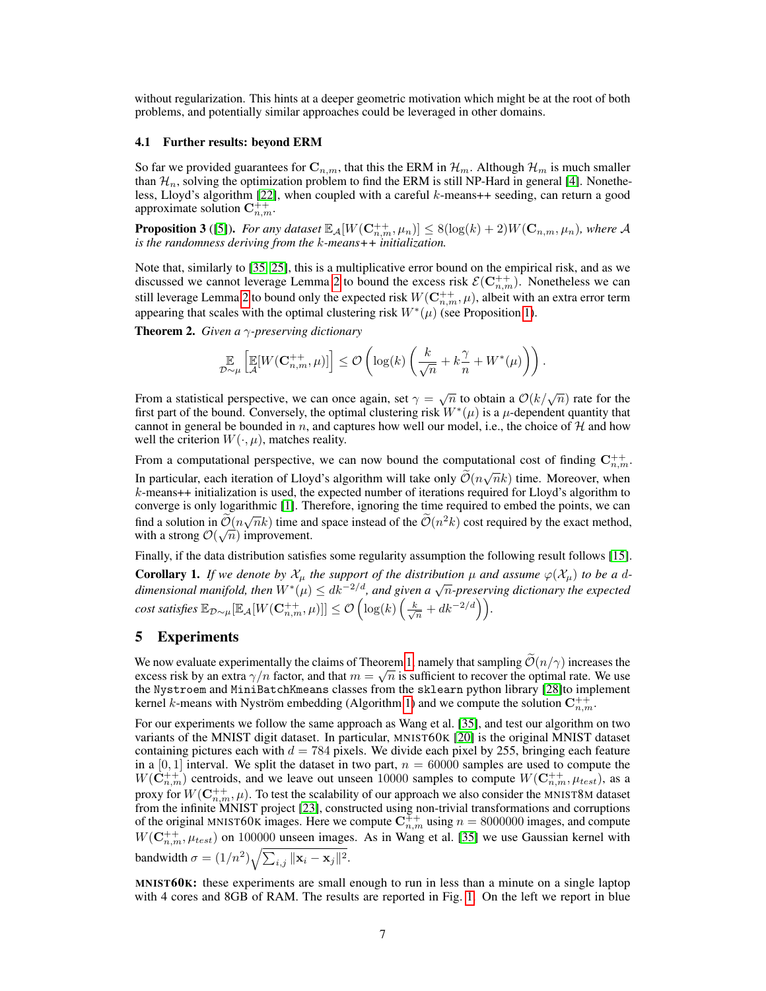without regularization. This hints at a deeper geometric motivation which might be at the root of both problems, and potentially similar approaches could be leveraged in other domains.

#### 4.1 Further results: beyond ERM

So far we provided guarantees for  $C_{n,m}$ , that this the ERM in  $\mathcal{H}_m$ . Although  $\mathcal{H}_m$  is much smaller than  $\mathcal{H}_n$ , solving the optimization problem to find the ERM is still NP-Hard in general [4]. Nonetheless, Lloyd's algorithm [22], when coupled with a careful k-means++ seeding, can return a good approximate solution  $\mathbf{C}_{n,m}^{++}$ .

**Proposition 3** ([5]). For any dataset  $\mathbb{E}_{\mathcal{A}}[W(\mathbf{C}_{n,m}^{++}, \mu_n)] \leq 8(\log(k) + 2)W(\mathbf{C}_{n,m}, \mu_n)$ , where A *is the randomness deriving from the* k*-means++ initialization.*

Note that, similarly to [35, 25], this is a multiplicative error bound on the empirical risk, and as we discussed we cannot leverage Lemma 2 to bound the excess risk  $\mathcal{E}(\mathbf{C}_{n,m}^{++})$ . Nonetheless we can still leverage Lemma 2 to bound only the expected risk  $W({\bf C}_{n,m}^{++},\mu),$  albeit with an extra error term appearing that scales with the optimal clustering risk  $W^*(\mu)$  (see Proposition 1).

Theorem 2. *Given a* γ*-preserving dictionary*

$$
\mathop{\mathbb{E}}_{\mathcal{D}\sim\mu}\left[\mathop{\mathbb{E}}_{\mathcal{A}}[W(\mathbf{C}_{n,m}^{++},\mu)]\right]\leq\mathcal{O}\left(\log(k)\left(\frac{k}{\sqrt{n}}+k\frac{\gamma}{n}+W^*(\mu)\right)\right).
$$

From a statistical perspective, we can once again, set  $\gamma = \sqrt{n}$  to obtain a  $\mathcal{O}(k/\sqrt{n})$  rate for the first part of the bound. Conversely, the optimal clustering risk  $W^*(\mu)$  is a  $\mu$ -dependent quantity that cannot in general be bounded in n, and captures how well our model, i.e., the choice of  $H$  and how well the criterion  $W(\cdot, \mu)$ , matches reality.

From a computational perspective, we can now bound the computational cost of finding  $C_{n,m}^{++}$ . In particular, each iteration of Lloyd's algorithm will take only  $\tilde{\mathcal{O}}(n\sqrt{n}k)$  time. Moreover, when k-means++ initialization is used, the expected number of iterations required for Lloyd's algorithm to converge is only logarithmic [1]. Therefore, ignoring the time required to embed the points, we can find a solution in  $\tilde{\mathcal{O}}(n\sqrt{n}k)$  time and space instead of the  $\tilde{\mathcal{O}}(n^2k)$  cost required by the exact method, with a strong  $\mathcal{O}(\sqrt{n})$  improvement.

Finally, if the data distribution satisfies some regularity assumption the following result follows [15]. **Corollary 1.** If we denote by  $\mathcal{X}_{\mu}$  the support of the distribution  $\mu$  and assume  $\varphi(\mathcal{X}_{\mu})$  to be a d*dimensional manifold, then*  $W^*(\mu) \leq dk^{-2/d}$ , and given a  $\sqrt{n}$ -preserving dictionary the expected dimensional manifold, then  $W^*(\mu) \leq dk^{-2/d}$ , and given a  $\sqrt{n}$ -preserving dictionary the expected  $cost \: satisfies \: \mathbb{E}_{\mathcal{D} \sim \mu}[\mathbb{E}_{\mathcal{A}}[W(\mathbf{C}_{n,m}^{++}, \mu)]] \leq \mathcal{O} \left( \log(k) \left( \frac{k}{\sqrt{n}} + d k^{-2/d} \right) \right) \!.$ 

# 5 Experiments

We now evaluate experimentally the claims of Theorem 1, namely that sampling  $\mathcal{O}(n/\gamma)$  increases the process of the continuous set of the continuous set of the continuous set of the continuous set of the continuous set excess risk by an extra  $\gamma/n$  factor, and that  $m = \sqrt{n}$  is sufficient to recover the optimal rate. We use the Nystroem and MiniBatchKmeans classes from the sklearn python library [28]to implement kernel k-means with Nyström embedding (Algorithm 1) and we compute the solution  $\mathbf{C}_{n,m}^{++}$ .

For our experiments we follow the same approach as Wang et al. [35], and test our algorithm on two variants of the MNIST digit dataset. In particular, MNIST60K [20] is the original MNIST dataset containing pictures each with  $d = 784$  pixels. We divide each pixel by 255, bringing each feature in a [0, 1] interval. We split the dataset in two part,  $n = 60000$  samples are used to compute the  $W(\dot{C}_{n,m}^{++})$  centroids, and we leave out unseen 10000 samples to compute  $W(C_{n,m}^{++}, \mu_{test})$ , as a proxy for  $W({\bf C}^{++}_{n,m},\mu).$  To test the scalability of our approach we also consider the MNIST8M dataset from the infinite MNIST project [23], constructed using non-trivial transformations and corruptions of the original MNIST60K images. Here we compute  $\mathbf{C}_{n,m}^{\ddag +}$  using  $n = 8000000$  images, and compute  $W(\mathbf{C}_{n,m}^{++}, \mu_{test})$  on 100000 unseen images. As in Wang et al. [35] we use Gaussian kernel with bandwidth  $\sigma = (1/n^2) \sqrt{\sum_{i,j} ||\mathbf{x}_i - \mathbf{x}_j||^2}$ .

MNIST60K: these experiments are small enough to run in less than a minute on a single laptop with 4 cores and 8GB of RAM. The results are reported in Fig. 1. On the left we report in blue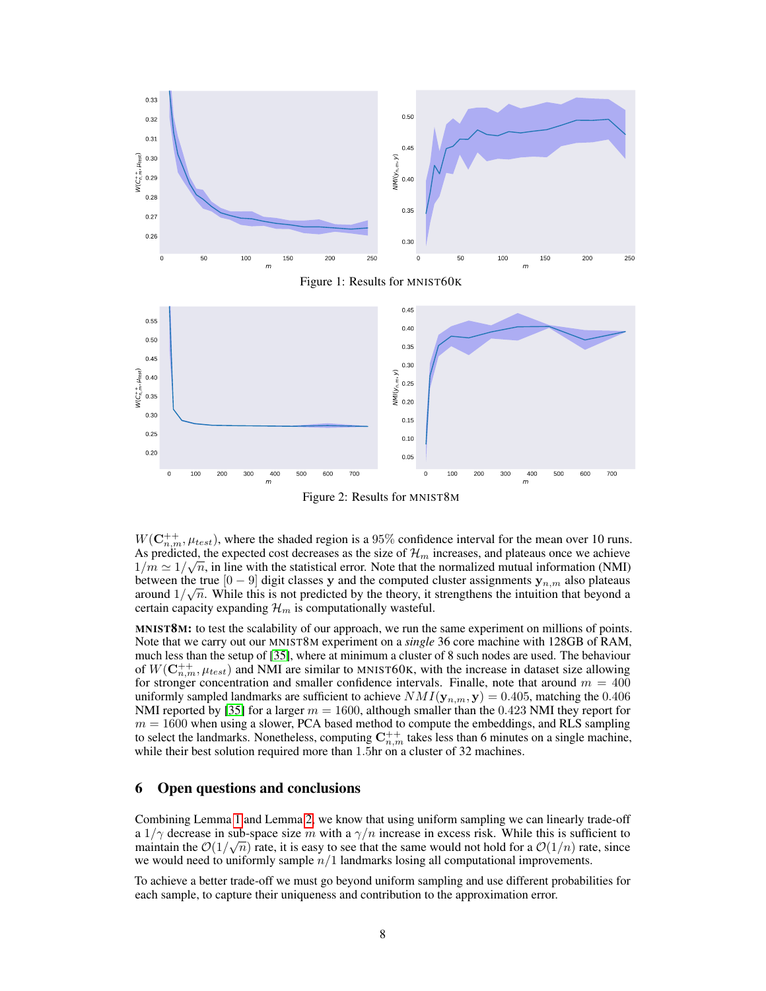

Figure 2: Results for MNIST8M

 $W(\mathbf{C}_{n,m}^{++}, \mu_{test})$ , where the shaded region is a 95% confidence interval for the mean over 10 runs. As predicted, the expected cost decreases as the size of  $\mathcal{H}_m$  increases, and plateaus once we achieve  $1/m \simeq 1/\sqrt{n}$ , in line with the statistical error. Note that the normalized mutual information (NMI) between the true  $[0-9]$  digit classes y and the computed cluster assignments  $y_{n,m}$  also plateaus around  $1/\sqrt{n}$ . While this is not predicted by the theory, it strengthens the intuition that beyond a certain capacity expanding  $\mathcal{H}_m$  is computationally wasteful.

MNIST8M: to test the scalability of our approach, we run the same experiment on millions of points. Note that we carry out our MNIST8M experiment on a *single* 36 core machine with 128GB of RAM, much less than the setup of [35], where at minimum a cluster of 8 such nodes are used. The behaviour of  $W(\mathbf{C}_{n,m}^{++}, \mu_{test})$  and NMI are similar to MNIST60K, with the increase in dataset size allowing for stronger concentration and smaller confidence intervals. Finalle, note that around  $m = 400$ uniformly sampled landmarks are sufficient to achieve  $NMI(\mathbf{y}_{n,m}, \mathbf{y}) = 0.405$ , matching the 0.406 NMI reported by [35] for a larger  $m = 1600$ , although smaller than the 0.423 NMI they report for  $m = 1600$  when using a slower, PCA based method to compute the embeddings, and RLS sampling to select the landmarks. Nonetheless, computing  $C_{n,m}^{++}$  takes less than 6 minutes on a single machine, while their best solution required more than 1.5hr on a cluster of 32 machines.

## 6 Open questions and conclusions

Combining Lemma 1 and Lemma 2, we know that using uniform sampling we can linearly trade-off a  $1/\gamma$  decrease in sub-space size m with a  $\gamma/n$  increase in excess risk. While this is sufficient to maintain the  $\mathcal{O}(1/\sqrt{n})$  rate, it is easy to see that the same would not hold for a  $\mathcal{O}(1/n)$  rate, since we would need to uniformly sample  $n/1$  landmarks losing all computational improvements.

To achieve a better trade-off we must go beyond uniform sampling and use different probabilities for each sample, to capture their uniqueness and contribution to the approximation error.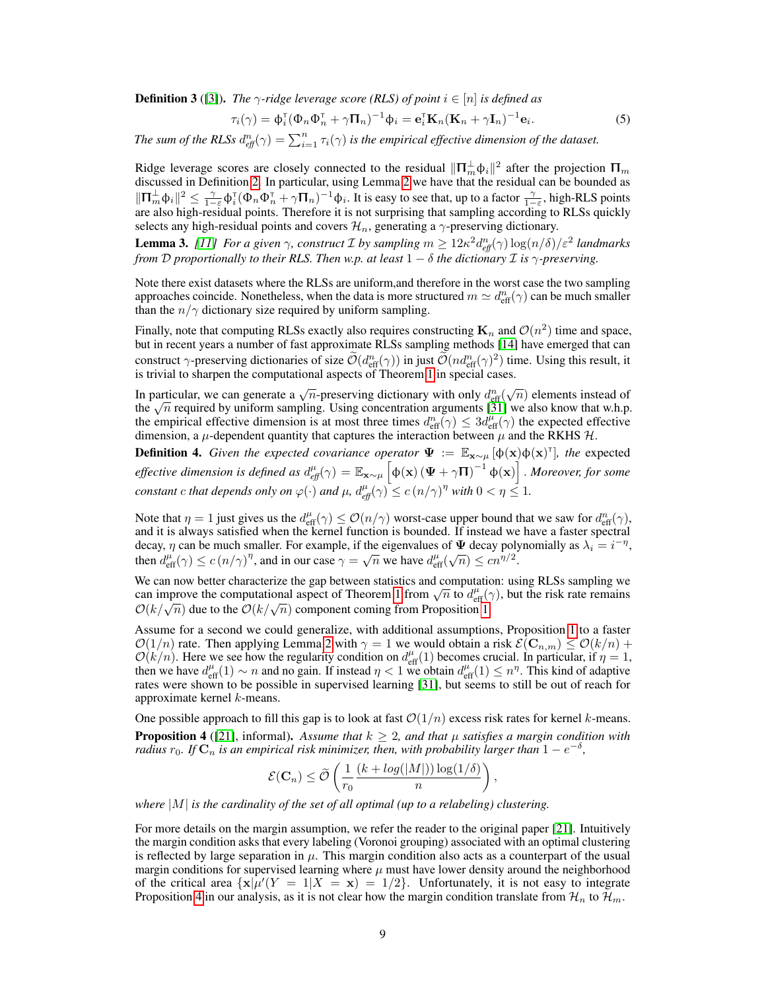**Definition 3** ([3]). *The*  $\gamma$ -ridge leverage score (RLS) of point  $i \in [n]$  is defined as

$$
\tau_i(\gamma) = \Phi_i^{\mathsf{T}}(\Phi_n \Phi_n^{\mathsf{T}} + \gamma \Pi_n)^{-1} \Phi_i = \mathbf{e}_i^{\mathsf{T}} \mathbf{K}_n (\mathbf{K}_n + \gamma \mathbf{I}_n)^{-1} \mathbf{e}_i.
$$
 (5)

*The sum of the RLSs*  $d_{\text{eff}}^n(\gamma) = \sum_{i=1}^n \tau_i(\gamma)$  is the empirical effective dimension of the dataset.

Ridge leverage scores are closely connected to the residual  $\|\Pi_m^{\perp}\phi_i\|^2$  after the projection  $\Pi_m$ discussed in Definition 2. In particular, using Lemma 2 we have that the residual can be bounded as  $\|\Pi_m^{\perp}\phi_i\|^2 \leq \frac{\gamma}{1-\varepsilon}\phi_i^{\intercal}(\Phi_n\Phi_n^{\intercal} + \gamma\Pi_n)^{-1}\phi_i$ . It is easy to see that, up to a factor  $\frac{\gamma}{1-\varepsilon}$ , high-RLS points are also high-residual points. Therefore it is not surprising that sampling according to RLSs quickly selects any high-residual points and covers  $\mathcal{H}_n$ , generating a  $\gamma$ -preserving dictionary.

**Lemma 3.** [11] For a given  $\gamma$ , construct *I* by sampling  $m \geq 12\kappa^2 d_{\text{eff}}^n(\gamma) \log(n/\delta)/\varepsilon^2$  landmarks *from*  $D$  *proportionally to their RLS. Then w.p. at least*  $1 - \delta$  *the dictionary*  $\mathcal I$  *is*  $\gamma$ -preserving.

Note there exist datasets where the RLSs are uniform,and therefore in the worst case the two sampling approaches coincide. Nonetheless, when the data is more structured  $m \simeq d_{\text{eff}}^n(\gamma)$  can be much smaller than the  $n/\gamma$  dictionary size required by uniform sampling.

Finally, note that computing RLSs exactly also requires constructing  $\mathbf{K}_n$  and  $\mathcal{O}(n^2)$  time and space, but in recent years a number of fast approximate RLSs sampling methods [14] have emerged that can construct  $\gamma$ -preserving dictionaries of size  $\tilde{\mathcal{O}}(d_{\text{eff}}^n(\gamma))$  in just  $\tilde{\mathcal{O}}(nd_{\text{eff}}^n(\gamma)^2)$  time. Using this result, it is trivial to sharpen the computational aspects of Theorem 1 in special cases.

In particular, we can generate a  $\sqrt{n}$ -preserving dictionary with only  $d_{\text{eff}}^n(\sqrt{n})$  elements instead of In particular, we can generate a  $\sqrt{n}$ -preserving dictionary with only  $d_{\text{eff}}^{\infty}(\sqrt{n})$  elements instead of the  $\sqrt{n}$  required by uniform sampling. Using concentration arguments [31] we also know that w.h.p. the empirical effective dimension is at most three times  $d_{\text{eff}}^n(\gamma) \leq 3d_{\text{eff}}^{\mu}(\gamma)$  the expected effective dimension, a  $\mu$ -dependent quantity that captures the interaction between  $\mu$  and the RKHS  $\mathcal{H}$ .

**Definition 4.** *Given the expected covariance operator*  $\Psi := \mathbb{E}_{\mathbf{x} \sim \mu} [\phi(\mathbf{x}) \phi(\mathbf{x})^{\dagger}]$ , the expected *effective dimension is defined as*  $d_{e\!f\!f}^\mu(\gamma) = \mathbb{E}_{\mathbf{x}\sim \mu}\left[\phi(\mathbf{x})\left(\mathbf{\Psi}+\gamma \mathbf{\Pi}\right)^{-1}\phi(\mathbf{x})\right]$  *. Moreover, for some constant* c *that depends only on*  $\varphi(\cdot)$  *and*  $\mu$ ,  $d_{eff}^{\mu}(\gamma) \le c(n/\gamma)^{\eta}$  with  $0 < \eta \le 1$ .

Note that  $\eta = 1$  just gives us the  $d_{\text{eff}}^{\mu}(\gamma) \leq \mathcal{O}(n/\gamma)$  worst-case upper bound that we saw for  $d_{\text{eff}}^n(\gamma)$ , and it is always satisfied when the kernel function is bounded. If instead we have a faster spectral decay,  $\eta$  can be much smaller. For example, if the eigenvalues of  $\Psi$  decay polynomially as  $\lambda_i = i^{-\eta}$ , then  $d_{\text{eff}}^{\mu}(\gamma) \le c (n/\gamma)^{\eta}$ , and in our case  $\gamma = \sqrt{n}$  we have  $d_{\text{eff}}^{\mu}(\sqrt{n}) \le c n^{\eta/2}$ .

We can now better characterize the gap between statistics and computation: using RLSs sampling we we can now better characterize the gap between statistics and computation: using RLSs sampling we can improve the computational aspect of Theorem 1 from  $\sqrt{n}$  to  $d_{\text{eff}}^{\mu}(\gamma)$ , but the risk rate remains Can improve the computational aspect of Theorem 1 from  $\sqrt{n}$  to  $u_{\text{eff}}(\sqrt{n})$  due to the  $\mathcal{O}(k/\sqrt{n})$  component coming from Proposition 1.

Assume for a second we could generalize, with additional assumptions, Proposition 1 to a faster  $\mathcal{O}(1/n)$  rate. Then applying Lemma 2 with  $\gamma = 1$  we would obtain a risk  $\mathcal{E}(\mathbf{C}_{n,m}) \leq \mathcal{O}(k/n) +$  $\mathcal{O}(k/n)$ . Here we see how the regularity condition on  $d_{\text{eff}}^{\mu}(1)$  becomes crucial. In particular, if  $\eta = 1$ , then we have  $d_{\text{eff}}^{\mu}(1) \sim n$  and no gain. If instead  $\eta < 1$  we obtain  $d_{\text{eff}}^{\mu}(1) \leq n^{\eta}$ . This kind of adaptive rates were shown to be possible in supervised learning [31], but seems to still be out of reach for approximate kernel k-means.

One possible approach to fill this gap is to look at fast  $\mathcal{O}(1/n)$  excess risk rates for kernel k-means. **Proposition 4** ([21], informal). Assume that  $k \geq 2$ , and that  $\mu$  satisfies a margin condition with  $r$ adius  $r_0$ . If  ${\bf C}_n$  is an empirical risk minimizer, then, with probability larger than  $1-e^{-\delta}$ ,

$$
\mathcal{E}(\mathbf{C}_n) \le \widetilde{\mathcal{O}}\left(\frac{1}{r_0} \frac{(k + log(|M|)) \log(1/\delta)}{n}\right),\,
$$

*where* |M| *is the cardinality of the set of all optimal (up to a relabeling) clustering.*

For more details on the margin assumption, we refer the reader to the original paper [21]. Intuitively the margin condition asks that every labeling (Voronoi grouping) associated with an optimal clustering is reflected by large separation in  $\mu$ . This margin condition also acts as a counterpart of the usual margin conditions for supervised learning where  $\mu$  must have lower density around the neighborhood of the critical area  $\{x|\mu'(Y=1|X=x)=1/2\}$ . Unfortunately, it is not easy to integrate Proposition 4 in our analysis, as it is not clear how the margin condition translate from  $\mathcal{H}_n$  to  $\mathcal{H}_m$ .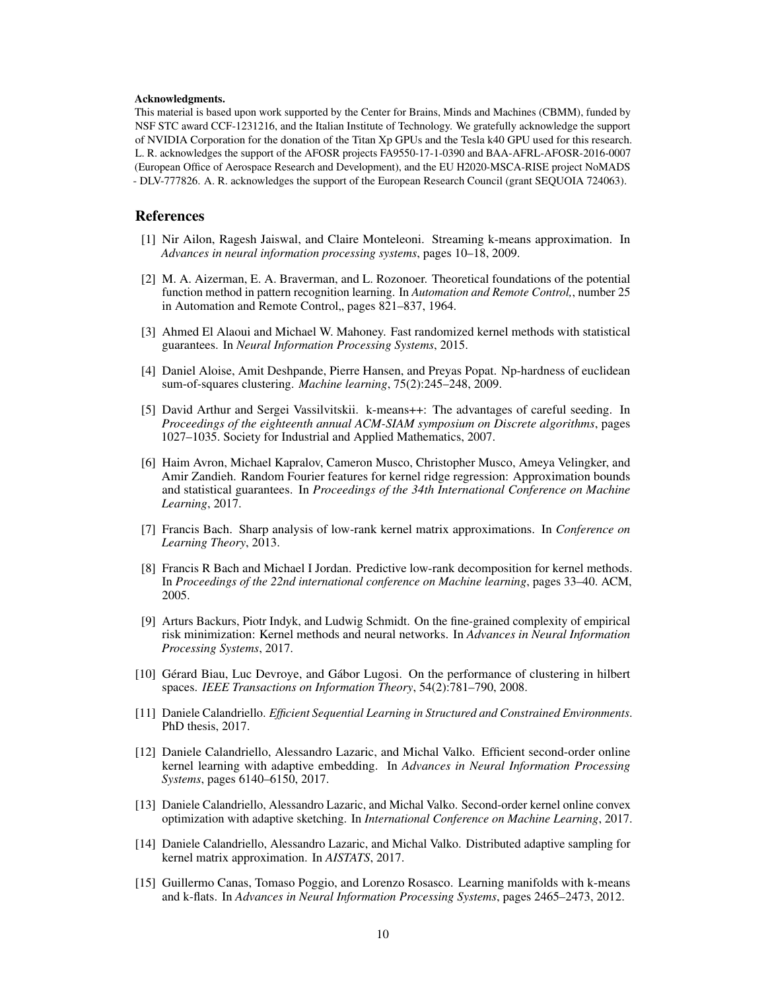#### Acknowledgments.

This material is based upon work supported by the Center for Brains, Minds and Machines (CBMM), funded by NSF STC award CCF-1231216, and the Italian Institute of Technology. We gratefully acknowledge the support of NVIDIA Corporation for the donation of the Titan Xp GPUs and the Tesla k40 GPU used for this research. L. R. acknowledges the support of the AFOSR projects FA9550-17-1-0390 and BAA-AFRL-AFOSR-2016-0007 (European Office of Aerospace Research and Development), and the EU H2020-MSCA-RISE project NoMADS - DLV-777826. A. R. acknowledges the support of the European Research Council (grant SEQUOIA 724063).

### References

- [1] Nir Ailon, Ragesh Jaiswal, and Claire Monteleoni. Streaming k-means approximation. In *Advances in neural information processing systems*, pages 10–18, 2009.
- [2] M. A. Aizerman, E. A. Braverman, and L. Rozonoer. Theoretical foundations of the potential function method in pattern recognition learning. In *Automation and Remote Control,*, number 25 in Automation and Remote Control, pages 821–837, 1964.
- [3] Ahmed El Alaoui and Michael W. Mahoney. Fast randomized kernel methods with statistical guarantees. In *Neural Information Processing Systems*, 2015.
- [4] Daniel Aloise, Amit Deshpande, Pierre Hansen, and Preyas Popat. Np-hardness of euclidean sum-of-squares clustering. *Machine learning*, 75(2):245–248, 2009.
- [5] David Arthur and Sergei Vassilvitskii. k-means++: The advantages of careful seeding. In *Proceedings of the eighteenth annual ACM-SIAM symposium on Discrete algorithms*, pages 1027–1035. Society for Industrial and Applied Mathematics, 2007.
- [6] Haim Avron, Michael Kapralov, Cameron Musco, Christopher Musco, Ameya Velingker, and Amir Zandieh. Random Fourier features for kernel ridge regression: Approximation bounds and statistical guarantees. In *Proceedings of the 34th International Conference on Machine Learning*, 2017.
- [7] Francis Bach. Sharp analysis of low-rank kernel matrix approximations. In *Conference on Learning Theory*, 2013.
- [8] Francis R Bach and Michael I Jordan. Predictive low-rank decomposition for kernel methods. In *Proceedings of the 22nd international conference on Machine learning*, pages 33–40. ACM, 2005.
- [9] Arturs Backurs, Piotr Indyk, and Ludwig Schmidt. On the fine-grained complexity of empirical risk minimization: Kernel methods and neural networks. In *Advances in Neural Information Processing Systems*, 2017.
- [10] Gérard Biau, Luc Devroye, and Gábor Lugosi. On the performance of clustering in hilbert spaces. *IEEE Transactions on Information Theory*, 54(2):781–790, 2008.
- [11] Daniele Calandriello. *Efficient Sequential Learning in Structured and Constrained Environments*. PhD thesis, 2017.
- [12] Daniele Calandriello, Alessandro Lazaric, and Michal Valko. Efficient second-order online kernel learning with adaptive embedding. In *Advances in Neural Information Processing Systems*, pages 6140–6150, 2017.
- [13] Daniele Calandriello, Alessandro Lazaric, and Michal Valko. Second-order kernel online convex optimization with adaptive sketching. In *International Conference on Machine Learning*, 2017.
- [14] Daniele Calandriello, Alessandro Lazaric, and Michal Valko. Distributed adaptive sampling for kernel matrix approximation. In *AISTATS*, 2017.
- [15] Guillermo Canas, Tomaso Poggio, and Lorenzo Rosasco. Learning manifolds with k-means and k-flats. In *Advances in Neural Information Processing Systems*, pages 2465–2473, 2012.